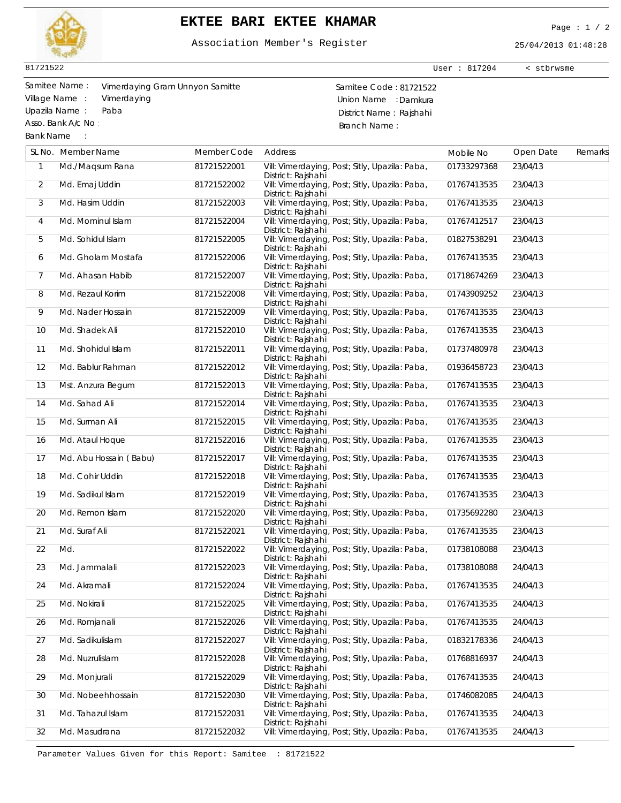

## **EKTEE BARI EKTEE KHAMAR** Page : 1 / 2

Association Member's Register

25/04/2013 01:48:28

User : 817204 < stbrwsme

81721522

Asso. Bank A/c No :

Bank Name :

Samitee Name : Samitee Code : 81721522 Vimerdaying Gram Unnyon Samitte Village Name : Vimerdaying (Village Name : Vimerdaying Same in the Union Name : Damkura<br>
Union Name : Paba (Village Same : Paba ) District Name : Raishahi Paba **District Name : Rajshahi** Branch Name :

|                | SL No. Member Name     | Member Code | <b>Address</b>                                                       | Mobile No   | Open Date | Remarks |
|----------------|------------------------|-------------|----------------------------------------------------------------------|-------------|-----------|---------|
| $\mathbf{1}$   | Md./ Maqsum Rana       | 81721522001 | Vill: Vimerdaying, Post; Sitly, Upazila: Paba,<br>District: Rajshahi | 01733297368 | 23/04/13  |         |
| $\overline{2}$ | Md. Emaj Uddin         | 81721522002 | Vill: Vimerdaying, Post; Sitly, Upazila: Paba,<br>District: Rajshahi | 01767413535 | 23/04/13  |         |
| 3              | Md. Hasim Uddin        | 81721522003 | Vill: Vimerdaying, Post; Sitly, Upazila: Paba,<br>District: Rajshahi | 01767413535 | 23/04/13  |         |
| 4              | Md. Mominul Islam      | 81721522004 | Vill: Vimerdaying, Post; Sitly, Upazila: Paba,<br>District: Rajshahi | 01767412517 | 23/04/13  |         |
| 5              | Md. Sohidul Islam      | 81721522005 | Vill: Vimerdaying, Post; Sitly, Upazila: Paba,<br>District: Rajshahi | 01827538291 | 23/04/13  |         |
| 6              | Md. Gholam Mostafa     | 81721522006 | Vill: Vimerdaying, Post; Sitly, Upazila: Paba,<br>District: Rajshahi | 01767413535 | 23/04/13  |         |
| 7              | Md. Ahasan Habib       | 81721522007 | Vill: Vimerdaying, Post; Sitly, Upazila: Paba,<br>District: Rajshahi | 01718674269 | 23/04/13  |         |
| 8              | Md. Rezaul Korim       | 81721522008 | Vill: Vimerdaying, Post; Sitly, Upazila: Paba,<br>District: Rajshahi | 01743909252 | 23/04/13  |         |
| 9              | Md. Nader Hossain      | 81721522009 | Vill: Vimerdaying, Post; Sitly, Upazila: Paba,<br>District: Rajshahi | 01767413535 | 23/04/13  |         |
| 10             | Md. Shadek Ali         | 81721522010 | Vill: Vimerdaying, Post; Sitly, Upazila: Paba,<br>District: Rajshahi | 01767413535 | 23/04/13  |         |
| 11             | Md. Shohidul Islam     | 81721522011 | Vill: Vimerdaying, Post; Sitly, Upazila: Paba,<br>District: Rajshahi | 01737480978 | 23/04/13  |         |
| 12             | Md. Bablur Rahman      | 81721522012 | Vill: Vimerdaying, Post; Sitly, Upazila: Paba,<br>District: Rajshahi | 01936458723 | 23/04/13  |         |
| 13             | Mst. Anzura Begum      | 81721522013 | Vill: Vimerdaying, Post; Sitly, Upazila: Paba,<br>District: Rajshahi | 01767413535 | 23/04/13  |         |
| 14             | Md. Sahad Ali          | 81721522014 | Vill: Vimerdaying, Post; Sitly, Upazila: Paba,<br>District: Rajshahi | 01767413535 | 23/04/13  |         |
| 15             | Md. Surman Ali         | 81721522015 | Vill: Vimerdaying, Post; Sitly, Upazila: Paba,<br>District: Rajshahi | 01767413535 | 23/04/13  |         |
| 16             | Md. Ataul Hoque        | 81721522016 | Vill: Vimerdaying, Post; Sitly, Upazila: Paba,<br>District: Rajshahi | 01767413535 | 23/04/13  |         |
| 17             | Md. Abu Hossain (Babu) | 81721522017 | Vill: Vimerdaying, Post; Sitly, Upazila: Paba,<br>District: Rajshahi | 01767413535 | 23/04/13  |         |
| 18             | Md. Cohir Uddin        | 81721522018 | Vill: Vimerdaying, Post; Sitly, Upazila: Paba,<br>District: Rajshahi | 01767413535 | 23/04/13  |         |
| 19             | Md. Sadikul Islam      | 81721522019 | Vill: Vimerdaying, Post; Sitly, Upazila: Paba,<br>District: Rajshahi | 01767413535 | 23/04/13  |         |
| 20             | Md. Remon Islam        | 81721522020 | Vill: Vimerdaying, Post; Sitly, Upazila: Paba,<br>District: Rajshahi | 01735692280 | 23/04/13  |         |
| 21             | Md. Suraf Ali          | 81721522021 | Vill: Vimerdaying, Post; Sitly, Upazila: Paba,<br>District: Rajshahi | 01767413535 | 23/04/13  |         |
| 22             | Md.                    | 81721522022 | Vill: Vimerdaying, Post; Sitly, Upazila: Paba,<br>District: Rajshahi | 01738108088 | 23/04/13  |         |
| 23             | Md. Jammalali          | 81721522023 | Vill: Vimerdaying, Post; Sitly, Upazila: Paba,<br>District: Rajshahi | 01738108088 | 24/04/13  |         |
| 24             | Md. Akramali           | 81721522024 | Vill: Vimerdaying, Post; Sitly, Upazila: Paba,<br>District: Rajshahi | 01767413535 | 24/04/13  |         |
| 25             | Md. Nokirali           | 81721522025 | Vill: Vimerdaying, Post; Sitly, Upazila: Paba,<br>District: Rajshahi | 01767413535 | 24/04/13  |         |
| 26             | Md. Romjanali          | 81721522026 | Vill: Vimerdaying, Post; Sitly, Upazila: Paba,<br>District: Rajshahi | 01767413535 | 24/04/13  |         |
| 27             | Md. Sadikulislam       | 81721522027 | Vill: Vimerdaying, Post; Sitly, Upazila: Paba,<br>District: Rajshahi | 01832178336 | 24/04/13  |         |
| 28             | Md. Nuzrulislam        | 81721522028 | Vill: Vimerdaying, Post; Sitly, Upazila: Paba,<br>District: Rajshahi | 01768816937 | 24/04/13  |         |
| 29             | Md. Monjurali          | 81721522029 | Vill: Vimerdaying, Post; Sitly, Upazila: Paba,<br>District: Rajshahi | 01767413535 | 24/04/13  |         |
| 30             | Md. Nobeehhossain      | 81721522030 | Vill: Vimerdaying, Post; Sitly, Upazila: Paba,<br>District: Rajshahi | 01746082085 | 24/04/13  |         |
| 31             | Md. Tahazul Islam      | 81721522031 | Vill: Vimerdaying, Post; Sitly, Upazila: Paba,<br>District: Rajshahi | 01767413535 | 24/04/13  |         |
| 32             | Md. Masudrana          | 81721522032 | Vill: Vimerdaying, Post; Sitly, Upazila: Paba,                       | 01767413535 | 24/04/13  |         |

Parameter Values Given for this Report: Samitee : 81721522